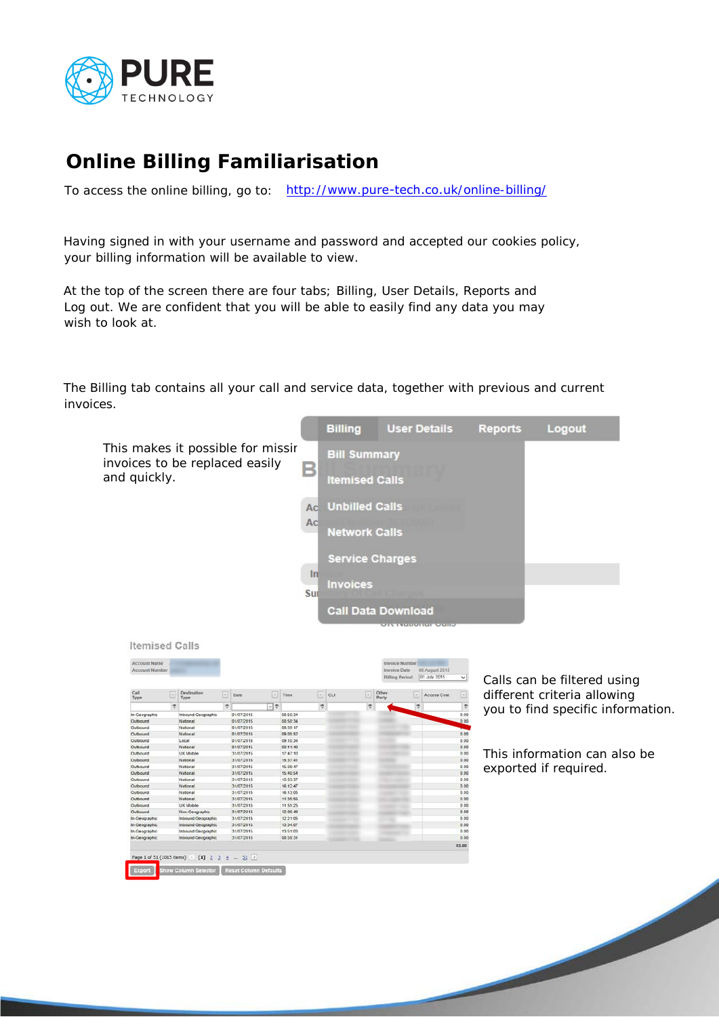

## **Online Billing Familiarisation**

To access the online billing, go to: http://www.pure-tech.co.uk/online-billing/

Having signed in with your username and password and accepted our cookies policy, your billing information will be available to view.

At the top of the screen there are four tabs; Billing, User Details, Reports and Log out. We are confident that you will be able to easily find any data you may wish to look at.

The Billing tab contains all your call and service data, together with previous and current invoices.



| <b>Account Name</b><br><b>Account Number</b> |      |                     |                        |            |                      |          |   |    |   | <b>Invoice Number</b><br>Invoice Date |     | 06 August 2015 |            |
|----------------------------------------------|------|---------------------|------------------------|------------|----------------------|----------|---|----|---|---------------------------------------|-----|----------------|------------|
|                                              |      |                     |                        |            |                      |          |   |    |   | <b>Billing Period</b>                 |     | 01 July 2015   | $\check{}$ |
| Call<br>Type                                 | l se | Destination<br>Type | $\left  \cdot \right $ | Date       | œ                    | Time     | Ξ | cu | E | Other<br>Party                        | l w | Access Cost    | Ξ          |
|                                              | v    |                     | Ÿ                      |            | $\sim$ $\frac{1}{2}$ |          | ę |    | ۴ |                                       | ø   |                | ۳          |
| In-Geographic                                |      | Inbound Geographic  |                        | 01/07/2015 |                      | 08:50:34 |   |    |   |                                       |     |                | 0.00       |
| Outbound                                     |      | National            |                        | 01/07/2015 |                      | 08:50:34 |   |    |   |                                       |     |                | 0.00       |
| Outbound                                     |      | National            |                        | 01/07/2015 |                      | 08 59 17 |   |    |   |                                       |     |                |            |
| Outbound                                     |      | National            |                        | 01/07/2015 |                      | 09 05 52 |   |    |   |                                       |     |                | 0.00       |
| Outbound                                     |      | Local               |                        | 01/07/2015 |                      | 09.10.34 |   |    |   |                                       |     |                | 0.00       |
| Outbound                                     |      | National            |                        | 01/07/2015 |                      | 09:11:40 |   |    |   |                                       |     |                | 0.00       |
| Outbound                                     |      | UK Mobile           |                        | 31/07/2015 |                      | 17:47:10 |   |    |   |                                       |     |                | 0.00       |
| Outbound                                     |      | National            |                        | 31/07/2015 |                      | 15.37.41 |   |    |   |                                       |     |                | 0.00       |
| Outbound                                     |      | National            |                        | 31/07/2015 |                      | 15:38:47 |   |    |   |                                       |     |                | 0.00       |
| Outbound                                     |      | National            |                        | 31/07/2015 |                      | 15:40:54 |   |    |   |                                       |     |                | 0.00       |
| Outbound                                     |      | National            |                        | 31/07/2015 |                      | 15:53:37 |   |    |   |                                       |     |                | 0.00       |
| Outbound                                     |      | National            |                        | 31/07/2015 |                      | 16:12:47 |   |    |   |                                       |     |                | 0.00       |
| Outbound                                     |      | National            |                        | 31/07/2015 |                      | 16:13:05 |   |    |   |                                       |     |                | 0.00       |
| Outbound                                     |      | National            |                        | 31/07/2015 |                      | 11:35:56 |   |    |   |                                       |     |                | 0.00       |
| Outbound                                     |      | <b>UK Mobile</b>    |                        | 31/07/2015 |                      | 11:55:25 |   |    |   |                                       |     |                | 0.00       |
| Outbound                                     |      | Non-Geographic      |                        | 31/07/2015 |                      | 12.00:49 |   |    |   |                                       |     |                | 0.00       |
| In-Geographic                                |      | Inbound Geographic  |                        | 31/07/2015 |                      | 12:21:05 |   |    |   |                                       |     |                | 0.00       |
| In-Geographic                                |      | Inbound Geographic  |                        | 31/07/2015 |                      | 13:34:07 |   |    |   |                                       |     |                | 0.00       |
| In-Geographic                                |      | Inbound Geographic  |                        | 31/07/2015 |                      | 13:51:03 |   |    |   |                                       |     |                | 0.00       |
| In-Geographic                                |      | Inbound Geographic  |                        | 31/07/2015 |                      | 08:59:31 |   |    |   |                                       |     |                | 0.00       |
|                                              |      |                     |                        |            |                      |          |   |    |   |                                       |     |                | £0.00      |
|                                              |      |                     |                        |            |                      |          |   |    |   |                                       |     |                |            |

Calls can be filtered using different criteria allowing you to find specific information.

This information can also be exported if required.